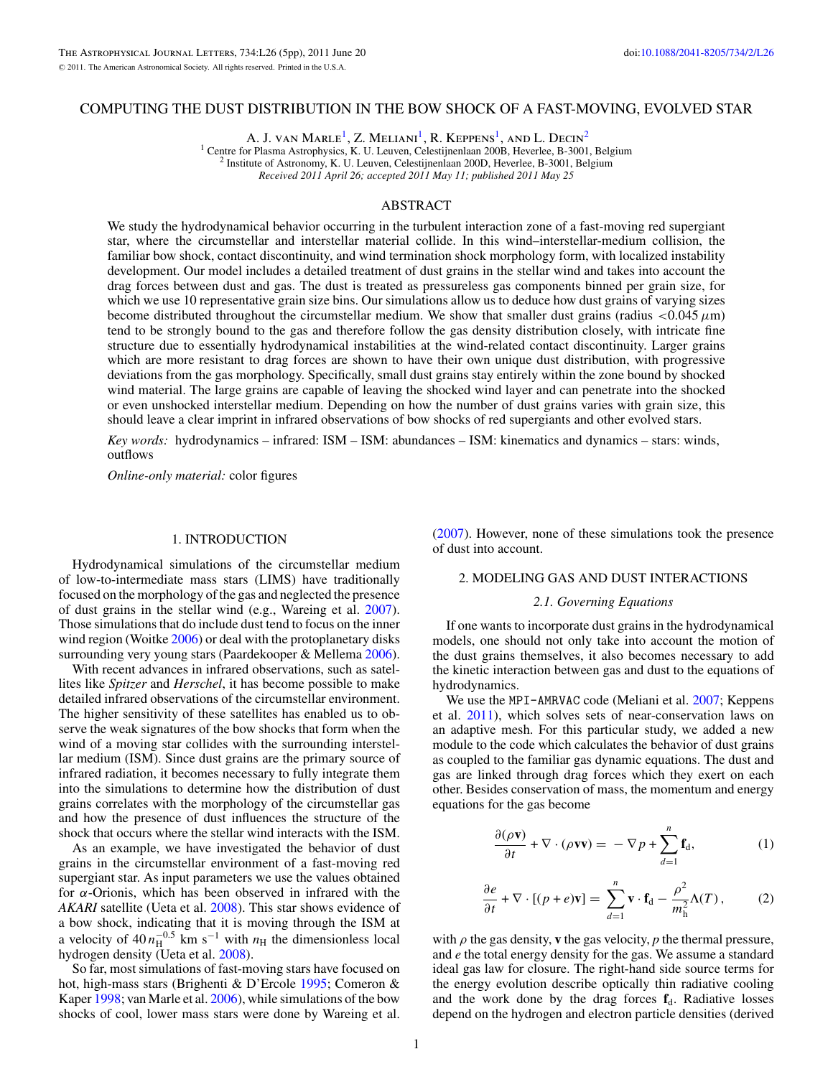# <span id="page-0-0"></span>COMPUTING THE DUST DISTRIBUTION IN THE BOW SHOCK OF A FAST-MOVING, EVOLVED STAR

A. J. van Marle<sup>1</sup>, Z. Meliani<sup>1</sup>, R. Keppens<sup>1</sup>, and L. Decin<sup>2</sup>

<sup>1</sup> Centre for Plasma Astrophysics, K. U. Leuven, Celestijnenlaan 200B, Heverlee, B-3001, Belgium <sup>2</sup> Institute of Astronomy, K. U. Leuven, Celestijnenlaan 200D, Heverlee, B-3001, Belgium

*Received 2011 April 26; accepted 2011 May 11; published 2011 May 25*

## ABSTRACT

We study the hydrodynamical behavior occurring in the turbulent interaction zone of a fast-moving red supergiant star, where the circumstellar and interstellar material collide. In this wind–interstellar-medium collision, the familiar bow shock, contact discontinuity, and wind termination shock morphology form, with localized instability development. Our model includes a detailed treatment of dust grains in the stellar wind and takes into account the drag forces between dust and gas. The dust is treated as pressureless gas components binned per grain size, for which we use 10 representative grain size bins. Our simulations allow us to deduce how dust grains of varying sizes become distributed throughout the circumstellar medium. We show that smaller dust grains (radius  $\langle 0.045 \mu m \rangle$ ) tend to be strongly bound to the gas and therefore follow the gas density distribution closely, with intricate fine structure due to essentially hydrodynamical instabilities at the wind-related contact discontinuity. Larger grains which are more resistant to drag forces are shown to have their own unique dust distribution, with progressive deviations from the gas morphology. Specifically, small dust grains stay entirely within the zone bound by shocked wind material. The large grains are capable of leaving the shocked wind layer and can penetrate into the shocked or even unshocked interstellar medium. Depending on how the number of dust grains varies with grain size, this should leave a clear imprint in infrared observations of bow shocks of red supergiants and other evolved stars.

*Key words:* hydrodynamics – infrared: ISM – ISM: abundances – ISM: kinematics and dynamics – stars: winds, outflows

*Online-only material:* color figures

### 1. INTRODUCTION

Hydrodynamical simulations of the circumstellar medium of low-to-intermediate mass stars (LIMS) have traditionally focused on the morphology of the gas and neglected the presence of dust grains in the stellar wind (e.g., Wareing et al. [2007\)](#page-4-0). Those simulations that do include dust tend to focus on the inner wind region (Woitke [2006\)](#page-4-0) or deal with the protoplanetary disks surrounding very young stars (Paardekooper & Mellema [2006\)](#page-4-0).

With recent advances in infrared observations, such as satellites like *Spitzer* and *Herschel*, it has become possible to make detailed infrared observations of the circumstellar environment. The higher sensitivity of these satellites has enabled us to observe the weak signatures of the bow shocks that form when the wind of a moving star collides with the surrounding interstellar medium (ISM). Since dust grains are the primary source of infrared radiation, it becomes necessary to fully integrate them into the simulations to determine how the distribution of dust grains correlates with the morphology of the circumstellar gas and how the presence of dust influences the structure of the shock that occurs where the stellar wind interacts with the ISM.

As an example, we have investigated the behavior of dust grains in the circumstellar environment of a fast-moving red supergiant star. As input parameters we use the values obtained for *α*-Orionis, which has been observed in infrared with the *AKARI* satellite (Ueta et al. [2008\)](#page-4-0). This star shows evidence of a bow shock, indicating that it is moving through the ISM at a velocity of  $40 n_{\text{H}}^{-0.5}$  km s<sup>-1</sup> with  $n_{\text{H}}$  the dimensionless local hydrogen density (Ueta et al. [2008\)](#page-4-0).

So far, most simulations of fast-moving stars have focused on hot, high-mass stars (Brighenti & D'Ercole [1995;](#page-4-0) Comeron & Kaper [1998;](#page-4-0) van Marle et al. [2006\)](#page-4-0), while simulations of the bow shocks of cool, lower mass stars were done by Wareing et al.

[\(2007\)](#page-4-0). However, none of these simulations took the presence of dust into account.

### 2. MODELING GAS AND DUST INTERACTIONS

#### *2.1. Governing Equations*

If one wants to incorporate dust grains in the hydrodynamical models, one should not only take into account the motion of the dust grains themselves, it also becomes necessary to add the kinetic interaction between gas and dust to the equations of hydrodynamics.

We use the MPI-AMRVAC code (Meliani et al. [2007;](#page-4-0) Keppens et al. [2011\)](#page-4-0), which solves sets of near-conservation laws on an adaptive mesh. For this particular study, we added a new module to the code which calculates the behavior of dust grains as coupled to the familiar gas dynamic equations. The dust and gas are linked through drag forces which they exert on each other. Besides conservation of mass, the momentum and energy equations for the gas become

$$
\frac{\partial(\rho \mathbf{v})}{\partial t} + \nabla \cdot (\rho \mathbf{v} \mathbf{v}) = -\nabla p + \sum_{d=1}^{n} \mathbf{f}_d,
$$
 (1)

$$
\frac{\partial e}{\partial t} + \nabla \cdot [(p + e)\mathbf{v}] = \sum_{d=1}^{n} \mathbf{v} \cdot \mathbf{f}_d - \frac{\rho^2}{m_h^2} \Lambda(T), \quad (2)
$$

with  $\rho$  the gas density, **v** the gas velocity,  $p$  the thermal pressure, and *e* the total energy density for the gas. We assume a standard ideal gas law for closure. The right-hand side source terms for the energy evolution describe optically thin radiative cooling and the work done by the drag forces  $f_d$ . Radiative losses depend on the hydrogen and electron particle densities (derived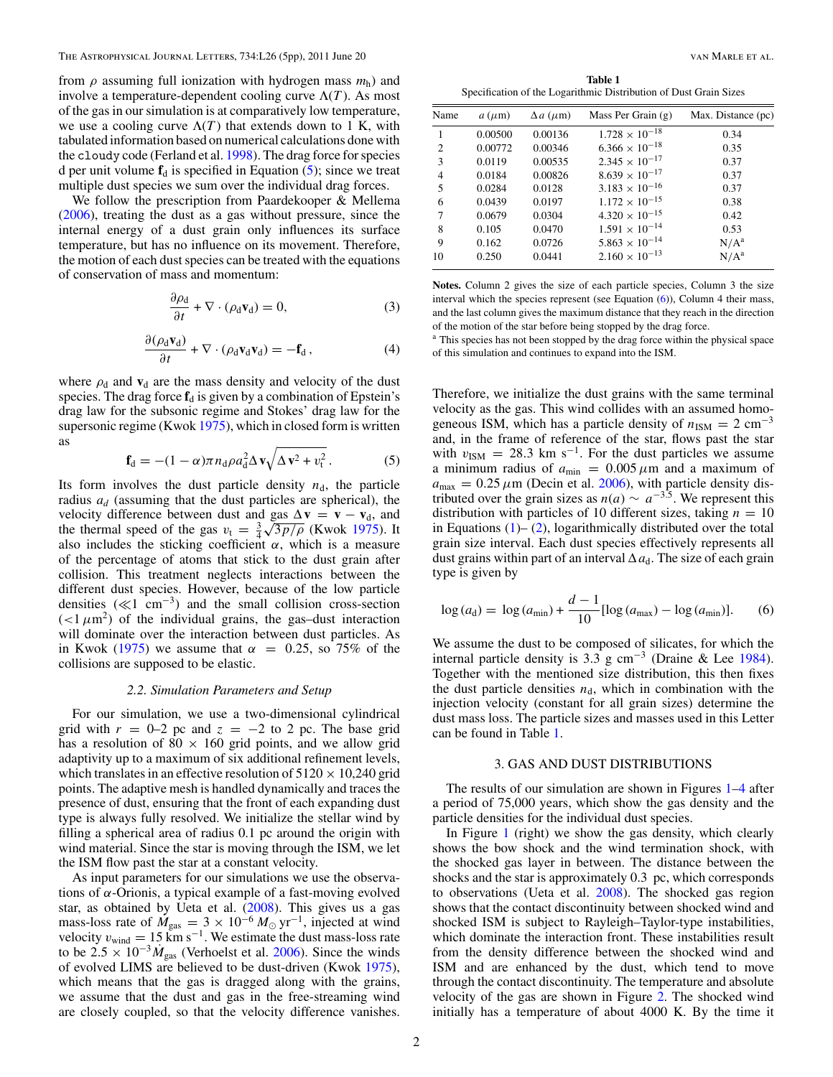<span id="page-1-0"></span>from  $\rho$  assuming full ionization with hydrogen mass  $m_h$ ) and involve a temperature-dependent cooling curve  $\Lambda(T)$ . As most of the gas in our simulation is at comparatively low temperature, we use a cooling curve  $\Lambda(T)$  that extends down to 1 K, with tabulated information based on numerical calculations done with the cloudy code (Ferland et al. [1998\)](#page-4-0). The drag force for species d per unit volume  $f_d$  is specified in Equation  $(5)$ ; since we treat multiple dust species we sum over the individual drag forces.

We follow the prescription from Paardekooper & Mellema [\(2006\)](#page-4-0), treating the dust as a gas without pressure, since the internal energy of a dust grain only influences its surface temperature, but has no influence on its movement. Therefore, the motion of each dust species can be treated with the equations of conservation of mass and momentum:

$$
\frac{\partial \rho_d}{\partial t} + \nabla \cdot (\rho_d \mathbf{v}_d) = 0,\tag{3}
$$

$$
\frac{\partial (\rho_{\rm d} \mathbf{v}_{\rm d})}{\partial t} + \nabla \cdot (\rho_{\rm d} \mathbf{v}_{\rm d} \mathbf{v}_{\rm d}) = -\mathbf{f}_{\rm d} \,,\tag{4}
$$

where  $\rho_d$  and  $\mathbf{v}_d$  are the mass density and velocity of the dust species. The drag force  $f_d$  is given by a combination of Epstein's drag law for the subsonic regime and Stokes' drag law for the supersonic regime (Kwok [1975\)](#page-4-0), which in closed form is written as

$$
\mathbf{f}_{\rm d} = -(1 - \alpha)\pi n_{\rm d}\rho a_{\rm d}^2 \Delta \mathbf{v} \sqrt{\Delta \mathbf{v}^2 + v_{\rm t}^2} \,. \tag{5}
$$

Its form involves the dust particle density  $n_d$ , the particle radius *ad* (assuming that the dust particles are spherical), the velocity difference between dust and gas  $\Delta \mathbf{v} = \mathbf{v} - \mathbf{v}_d$ , and the thermal speed of the gas  $v_t = \frac{3}{4} \sqrt{3p/\rho}$  (Kwok [1975\)](#page-4-0). It also includes the sticking coefficient  $\alpha$ , which is a measure of the percentage of atoms that stick to the dust grain after collision. This treatment neglects interactions between the different dust species. However, because of the low particle densities ( $\ll 1$  cm<sup>-3</sup>) and the small collision cross-section  $(<1 \mu m^2)$  of the individual grains, the gas-dust interaction will dominate over the interaction between dust particles. As in Kwok [\(1975\)](#page-4-0) we assume that  $\alpha = 0.25$ , so 75% of the collisions are supposed to be elastic.

#### *2.2. Simulation Parameters and Setup*

For our simulation, we use a two-dimensional cylindrical grid with  $r = 0-2$  pc and  $z = -2$  to 2 pc. The base grid has a resolution of 80  $\times$  160 grid points, and we allow grid adaptivity up to a maximum of six additional refinement levels, which translates in an effective resolution of  $5120 \times 10,240$  grid points. The adaptive mesh is handled dynamically and traces the presence of dust, ensuring that the front of each expanding dust type is always fully resolved. We initialize the stellar wind by filling a spherical area of radius 0.1 pc around the origin with wind material. Since the star is moving through the ISM, we let the ISM flow past the star at a constant velocity.

As input parameters for our simulations we use the observations of *α*-Orionis, a typical example of a fast-moving evolved star, as obtained by Ueta et al. [\(2008\)](#page-4-0). This gives us a gas mass-loss rate of  $M_{\text{gas}} = 3 \times 10^{-6} M_{\odot} \text{ yr}^{-1}$ , injected at wind velocity  $v_{wind} = 15 \text{ km s}^{-1}$ . We estimate the dust mass-loss rate to be  $2.5 \times 10^{-3} M_{\text{gas}}$  (Verhoelst et al. [2006\)](#page-4-0). Since the winds of evolved LIMS are believed to be dust-driven (Kwok [1975\)](#page-4-0), which means that the gas is dragged along with the grains, we assume that the dust and gas in the free-streaming wind are closely coupled, so that the velocity difference vanishes.

**Table 1** Specification of the Logarithmic Distribution of Dust Grain Sizes

| Name | $a(\mu m)$ | $\Delta a$ ( $\mu$ m) | Mass Per Grain $(g)$    | Max. Distance (pc) |
|------|------------|-----------------------|-------------------------|--------------------|
|      | 0.00500    | 0.00136               | $1.728 \times 10^{-18}$ | 0.34               |
| 2    | 0.00772    | 0.00346               | $6.366 \times 10^{-18}$ | 0.35               |
| 3    | 0.0119     | 0.00535               | $2.345 \times 10^{-17}$ | 0.37               |
| 4    | 0.0184     | 0.00826               | $8.639 \times 10^{-17}$ | 0.37               |
| 5    | 0.0284     | 0.0128                | $3.183 \times 10^{-16}$ | 0.37               |
| 6    | 0.0439     | 0.0197                | $1.172 \times 10^{-15}$ | 0.38               |
| 7    | 0.0679     | 0.0304                | $4.320 \times 10^{-15}$ | 0.42               |
| 8    | 0.105      | 0.0470                | $1.591 \times 10^{-14}$ | 0.53               |
| 9    | 0.162      | 0.0726                | $5.863 \times 10^{-14}$ | $N/A^a$            |
| 10   | 0.250      | 0.0441                | $2.160 \times 10^{-13}$ | $N/A^a$            |

**Notes.** Column 2 gives the size of each particle species, Column 3 the size interval which the species represent (see Equation (6)), Column 4 their mass, and the last column gives the maximum distance that they reach in the direction of the motion of the star before being stopped by the drag force.

<sup>a</sup> This species has not been stopped by the drag force within the physical space of this simulation and continues to expand into the ISM.

Therefore, we initialize the dust grains with the same terminal velocity as the gas. This wind collides with an assumed homogeneous ISM, which has a particle density of  $n_{ISM} = 2 \text{ cm}^{-3}$ and, in the frame of reference of the star, flows past the star with  $v_{\rm ISM} = 28.3$  km s<sup>-1</sup>. For the dust particles we assume a minimum radius of  $a_{\text{min}} = 0.005 \,\mu\text{m}$  and a maximum of  $a_{\text{max}} = 0.25 \,\mu\text{m}$  (Decin et al. [2006\)](#page-4-0), with particle density distributed over the grain sizes as  $n(a) \sim a^{-3.5}$ . We represent this distribution with particles of 10 different sizes, taking  $n = 10$ in Equations  $(1)$ – $(2)$ , logarithmically distributed over the total grain size interval. Each dust species effectively represents all dust grains within part of an interval  $\Delta a_d$ . The size of each grain type is given by

$$
\log(a_{\rm d}) = \log(a_{\rm min}) + \frac{d-1}{10} [\log(a_{\rm max}) - \log(a_{\rm min})]. \tag{6}
$$

We assume the dust to be composed of silicates, for which the internal particle density is 3.3 g cm<sup>-3</sup> (Draine & Lee [1984\)](#page-4-0). Together with the mentioned size distribution, this then fixes the dust particle densities  $n_d$ , which in combination with the injection velocity (constant for all grain sizes) determine the dust mass loss. The particle sizes and masses used in this Letter can be found in Table 1.

#### 3. GAS AND DUST DISTRIBUTIONS

The results of our simulation are shown in Figures [1](#page-2-0)[–4](#page-3-0) after a period of 75,000 years, which show the gas density and the particle densities for the individual dust species.

In Figure [1](#page-2-0) (right) we show the gas density, which clearly shows the bow shock and the wind termination shock, with the shocked gas layer in between. The distance between the shocks and the star is approximately 0.3 pc, which corresponds to observations (Ueta et al. [2008\)](#page-4-0). The shocked gas region shows that the contact discontinuity between shocked wind and shocked ISM is subject to Rayleigh–Taylor-type instabilities, which dominate the interaction front. These instabilities result from the density difference between the shocked wind and ISM and are enhanced by the dust, which tend to move through the contact discontinuity. The temperature and absolute velocity of the gas are shown in Figure [2.](#page-2-0) The shocked wind initially has a temperature of about 4000 K. By the time it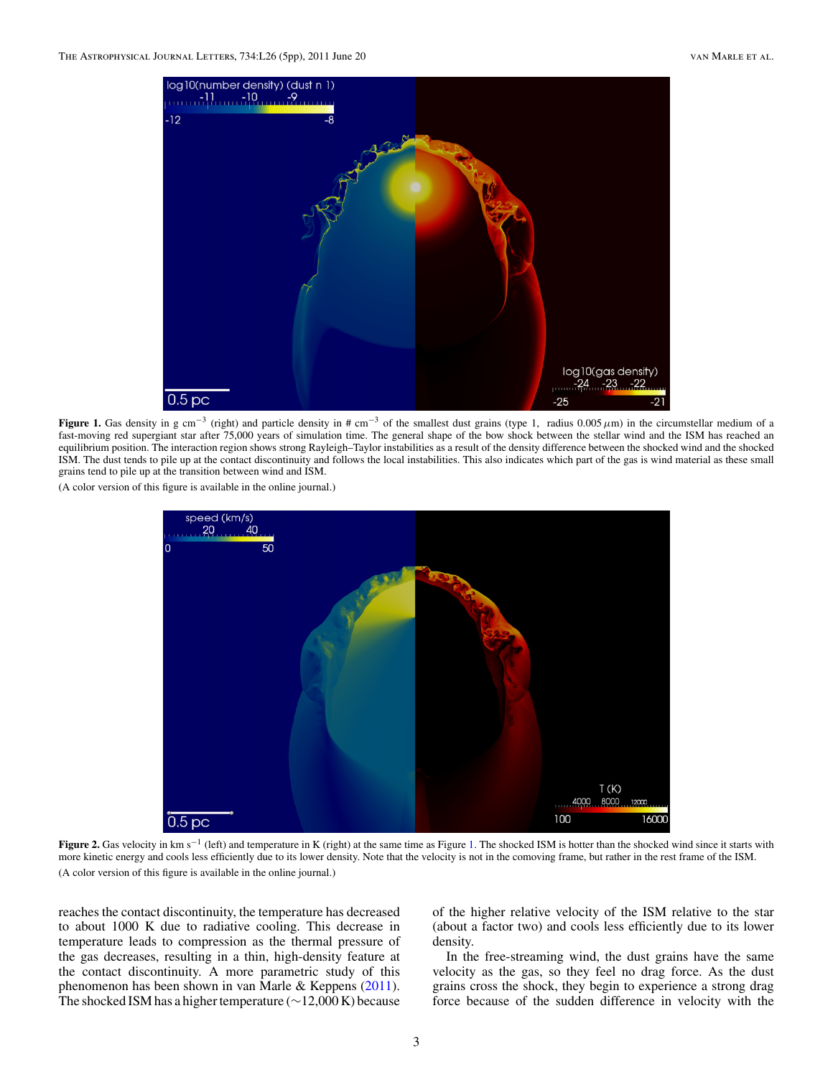<span id="page-2-0"></span>

**Figure 1.** Gas density in g cm<sup>-3</sup> (right) and particle density in # cm<sup>-3</sup> of the smallest dust grains (type 1, radius 0.005 $\mu$ m) in the circumstellar medium of a fast-moving red supergiant star after 75,000 years of simulation time. The general shape of the bow shock between the stellar wind and the ISM has reached an equilibrium position. The interaction region shows strong Rayleigh–Taylor instabilities as a result of the density difference between the shocked wind and the shocked ISM. The dust tends to pile up at the contact discontinuity and follows the local instabilities. This also indicates which part of the gas is wind material as these small grains tend to pile up at the transition between wind and ISM.

(A color version of this figure is available in the online journal.)



**Figure 2.** Gas velocity in km s<sup>−1</sup> (left) and temperature in K (right) at the same time as Figure 1. The shocked ISM is hotter than the shocked wind since it starts with more kinetic energy and cools less efficiently due to its lower density. Note that the velocity is not in the comoving frame, but rather in the rest frame of the ISM. (A color version of this figure is available in the online journal.)

reaches the contact discontinuity, the temperature has decreased to about 1000 K due to radiative cooling. This decrease in temperature leads to compression as the thermal pressure of the gas decreases, resulting in a thin, high-density feature at the contact discontinuity. A more parametric study of this phenomenon has been shown in van Marle & Keppens [\(2011\)](#page-4-0). The shocked ISM has a higher temperature (∼12,000 K) because

of the higher relative velocity of the ISM relative to the star (about a factor two) and cools less efficiently due to its lower density.

In the free-streaming wind, the dust grains have the same velocity as the gas, so they feel no drag force. As the dust grains cross the shock, they begin to experience a strong drag force because of the sudden difference in velocity with the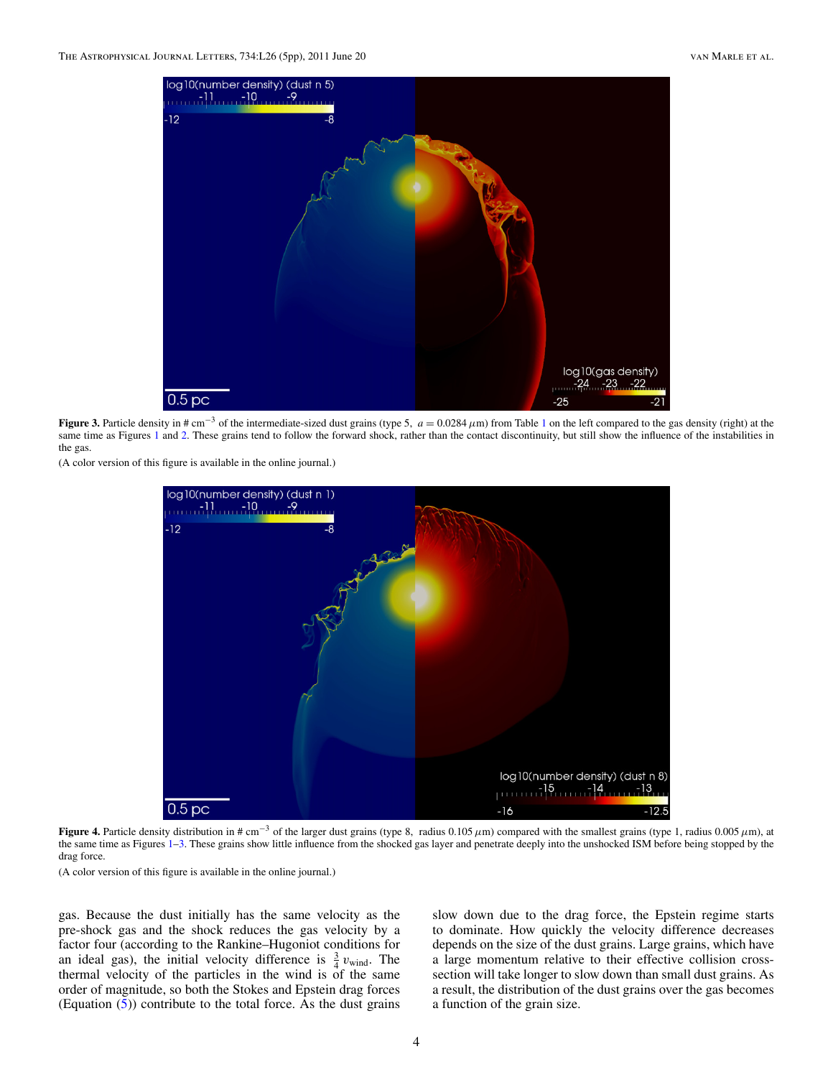<span id="page-3-0"></span>

**Figure 3.** Particle density in # cm<sup>-3</sup> of the intermediate-sized dust grains (type 5,  $a = 0.0284 \mu m$ ) from Table [1](#page-1-0) on the left compared to the gas density (right) at the same time as Figures [1](#page-2-0) and [2.](#page-2-0) These grains tend to follow the forward shock, rather than the contact discontinuity, but still show the influence of the instabilities in the gas.

(A color version of this figure is available in the online journal.)



**Figure 4.** Particle density distribution in # cm−<sup>3</sup> of the larger dust grains (type 8, radius 0.105*μ*m) compared with the smallest grains (type 1, radius 0.005*μ*m), at the same time as Figures [1–](#page-2-0)3. These grains show little influence from the shocked gas layer and penetrate deeply into the unshocked ISM before being stopped by the drag force.

(A color version of this figure is available in the online journal.)

gas. Because the dust initially has the same velocity as the pre-shock gas and the shock reduces the gas velocity by a factor four (according to the Rankine–Hugoniot conditions for an ideal gas), the initial velocity difference is  $\frac{3}{4}$  *v*<sub>wind</sub>. The thermal velocity of the particles in the wind is of the same order of magnitude, so both the Stokes and Epstein drag forces (Equation [\(5\)](#page-1-0)) contribute to the total force. As the dust grains slow down due to the drag force, the Epstein regime starts to dominate. How quickly the velocity difference decreases depends on the size of the dust grains. Large grains, which have a large momentum relative to their effective collision crosssection will take longer to slow down than small dust grains. As a result, the distribution of the dust grains over the gas becomes a function of the grain size.